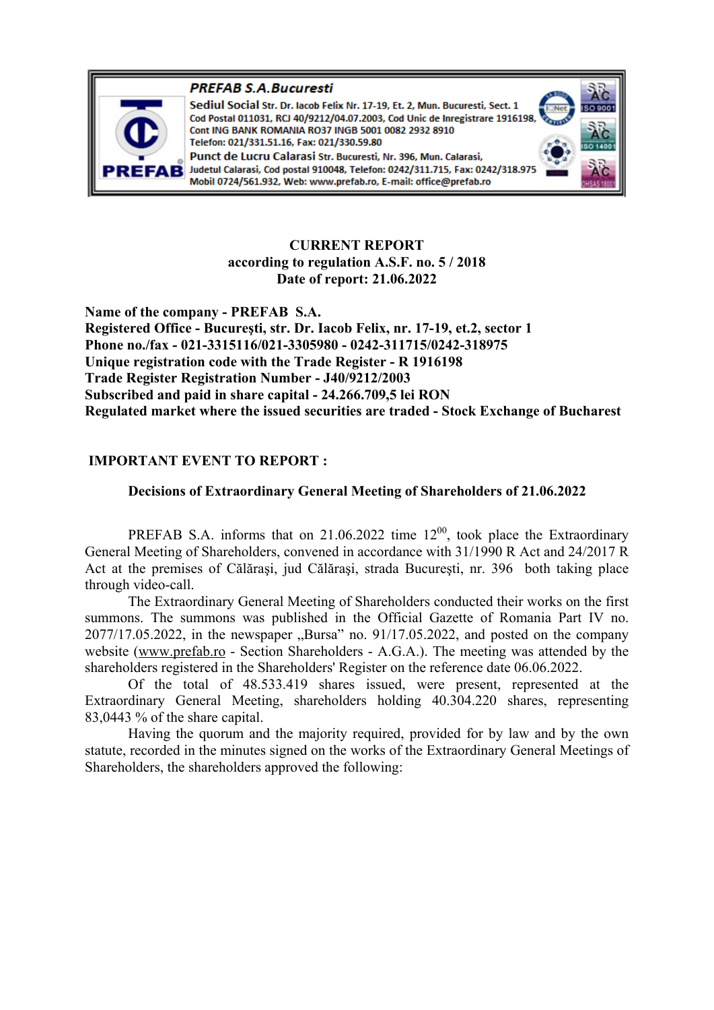

**PREFAB S.A. Bucuresti** Sediul Social Str. Dr. Iacob Felix Nr. 17-19, Et. 2, Mun. Bucuresti, Sect. 1 Cod Postal 011031, RCJ 40/9212/04.07.2003, Cod Unic de Inregistrare 1916198 Cont ING BANK ROMANIA RO37 INGB 5001 0082 2932 8910 Telefon: 021/331.51.16, Fax: 021/330.59.80 Punct de Lucru Calarasi Str. Bucuresti, Nr. 396, Mun. Calarasi, Judetul Calarasi, Cod postal 910048, Telefon: 0242/311.715, Fax: 0242/318.97

> **CURRENT REPORT according to regulation A.S.F. no. 5 / 2018 Date of report: 21.06.2022**

**Name of the company - PREFAB S.A. Registered Office - Bucureşti, str. Dr. Iacob Felix, nr. 17-19, et.2, sector 1 Phone no./fax - 021-3315116/021-3305980 - 0242-311715/0242-318975 Unique registration code with the Trade Register - R 1916198 Trade Register Registration Number - J40/9212/2003 Subscribed and paid in share capital - 24.266.709,5 lei RON Regulated market where the issued securities are traded - Stock Exchange of Bucharest** 

# **IMPORTANT EVENT TO REPORT :**

## **Decisions of Extraordinary General Meeting of Shareholders of 21.06.2022**

PREFAB S.A. informs that on 21.06.2022 time  $12^{00}$ , took place the Extraordinary General Meeting of Shareholders, convened in accordance with 31/1990 R Act and 24/2017 R Act at the premises of Călăraşi, jud Călăraşi, strada Bucureşti, nr. 396 both taking place through video-call.

The Extraordinary General Meeting of Shareholders conducted their works on the first summons. The summons was published in the Official Gazette of Romania Part IV no.  $2077/17.05.2022$ , in the newspaper  $,$ Bursa" no. 91/17.05.2022, and posted on the company website (www.prefab.ro - Section Shareholders - A.G.A.). The meeting was attended by the shareholders registered in the Shareholders' Register on the reference date 06.06.2022.

Of the total of 48.533.419 shares issued, were present, represented at the Extraordinary General Meeting, shareholders holding 40.304.220 shares, representing 83,0443 % of the share capital.

Having the quorum and the majority required, provided for by law and by the own statute, recorded in the minutes signed on the works of the Extraordinary General Meetings of Shareholders, the shareholders approved the following: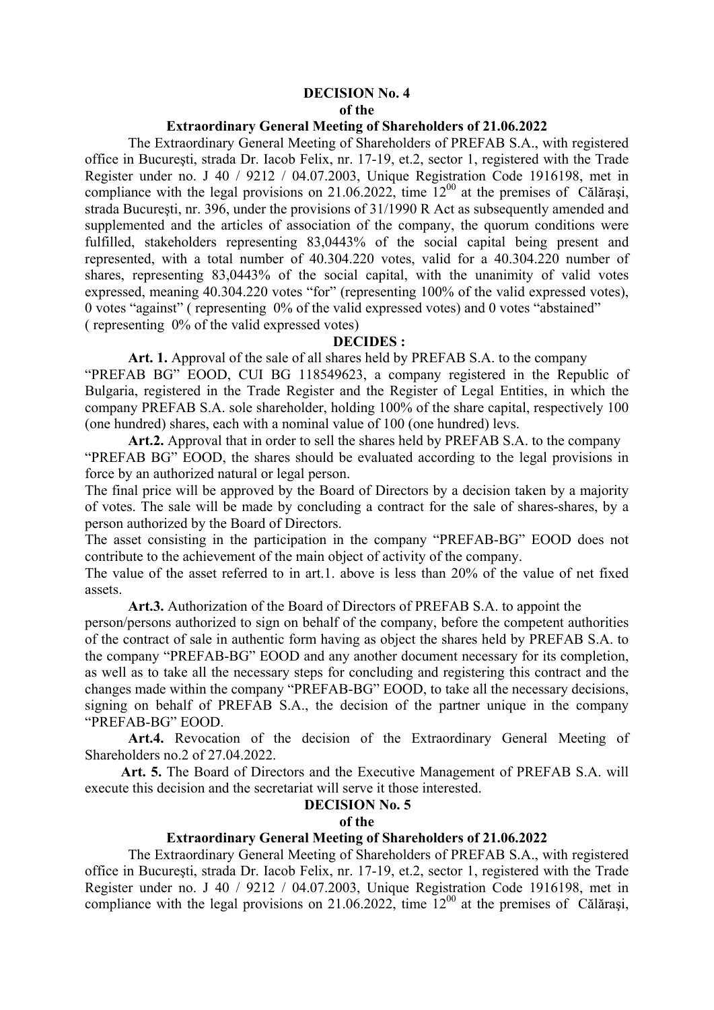## **DECISION No. 4 of the**

## **Extraordinary General Meeting of Shareholders of 21.06.2022**

The Extraordinary General Meeting of Shareholders of PREFAB S.A., with registered office in Bucureşti, strada Dr. Iacob Felix, nr. 17-19, et.2, sector 1, registered with the Trade Register under no. J 40 / 9212 / 04.07.2003, Unique Registration Code 1916198, met in compliance with the legal provisions on 21.06.2022, time  $12^{00}$  at the premises of Călărași, strada Bucureşti, nr. 396, under the provisions of 31/1990 R Act as subsequently amended and supplemented and the articles of association of the company, the quorum conditions were fulfilled, stakeholders representing 83,0443% of the social capital being present and represented, with a total number of 40.304.220 votes, valid for a 40.304.220 number of shares, representing 83,0443% of the social capital, with the unanimity of valid votes expressed, meaning 40.304.220 votes "for" (representing 100% of the valid expressed votes), 0 votes "against" ( representing 0% of the valid expressed votes) and 0 votes "abstained" ( representing 0% of the valid expressed votes)

#### **DECIDES :**

**Art. 1.** Approval of the sale of all shares held by PREFAB S.A. to the company "PREFAB BG" EOOD, CUI BG 118549623, a company registered in the Republic of Bulgaria, registered in the Trade Register and the Register of Legal Entities, in which the company PREFAB S.A. sole shareholder, holding 100% of the share capital, respectively 100 (one hundred) shares, each with a nominal value of 100 (one hundred) levs.

**Art.2.** Approval that in order to sell the shares held by PREFAB S.A. to the company "PREFAB BG" EOOD, the shares should be evaluated according to the legal provisions in force by an authorized natural or legal person.

The final price will be approved by the Board of Directors by a decision taken by a majority of votes. The sale will be made by concluding a contract for the sale of shares-shares, by a person authorized by the Board of Directors.

The asset consisting in the participation in the company "PREFAB-BG" EOOD does not contribute to the achievement of the main object of activity of the company.

The value of the asset referred to in art.1. above is less than 20% of the value of net fixed assets.

**Art.3.** Authorization of the Board of Directors of PREFAB S.A. to appoint the

person/persons authorized to sign on behalf of the company, before the competent authorities of the contract of sale in authentic form having as object the shares held by PREFAB S.A. to the company "PREFAB-BG" EOOD and any another document necessary for its completion, as well as to take all the necessary steps for concluding and registering this contract and the changes made within the company "PREFAB-BG" EOOD, to take all the necessary decisions, signing on behalf of PREFAB S.A., the decision of the partner unique in the company "PREFAB-BG" EOOD.

 **Art.4.** Revocation of the decision of the Extraordinary General Meeting of Shareholders no.2 of 27.04.2022.

 **Art. 5.** The Board of Directors and the Executive Management of PREFAB S.A. will execute this decision and the secretariat will serve it those interested.

# **DECISION No. 5**

#### **of the**

# **Extraordinary General Meeting of Shareholders of 21.06.2022**

The Extraordinary General Meeting of Shareholders of PREFAB S.A., with registered office in Bucureşti, strada Dr. Iacob Felix, nr. 17-19, et.2, sector 1, registered with the Trade Register under no. J 40 / 9212 / 04.07.2003, Unique Registration Code 1916198, met in compliance with the legal provisions on  $21.06.2022$ , time  $12^{00}$  at the premises of Călărași,